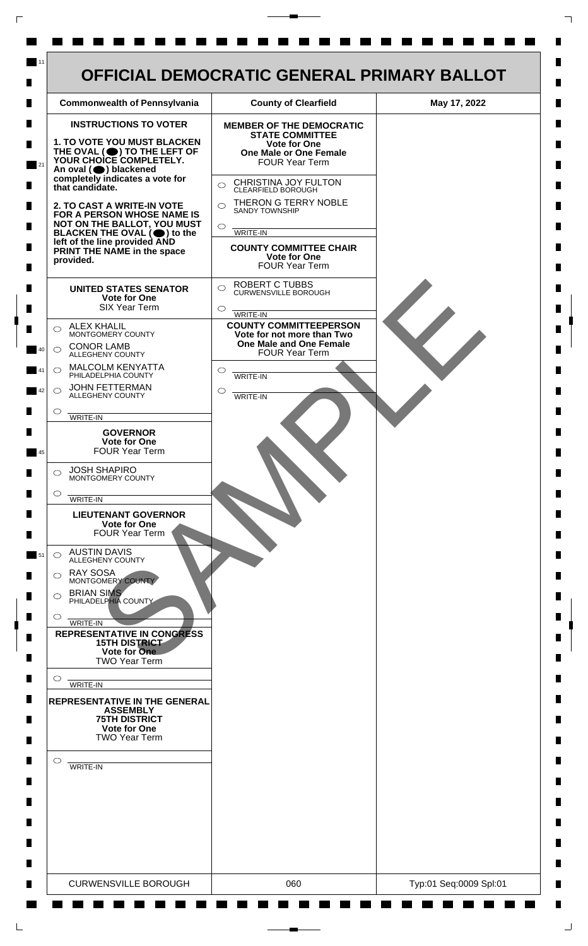

 $\mathsf{L}$